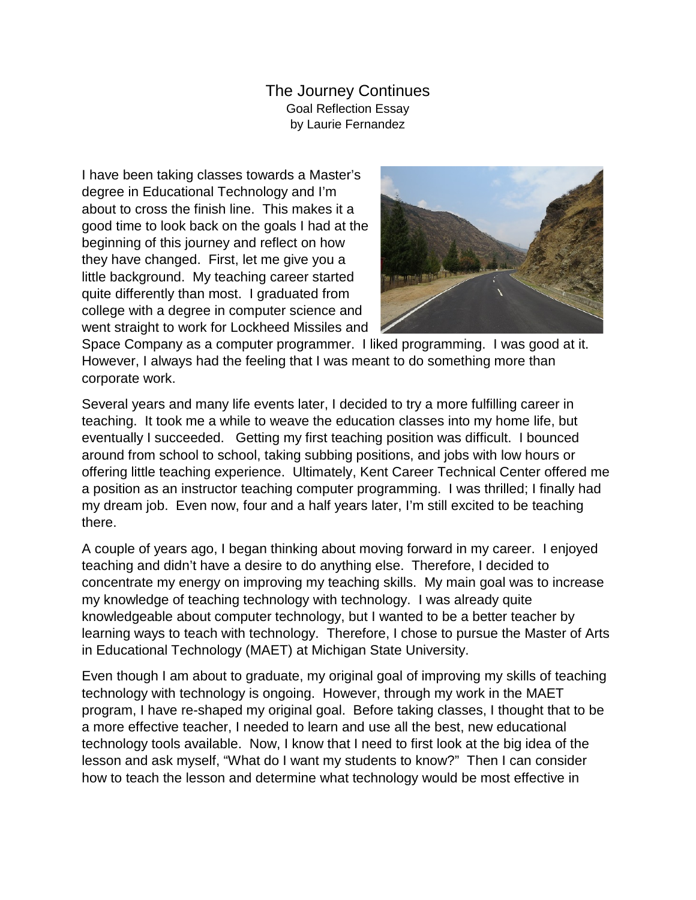The Journey Continues Goal Reflection Essay by Laurie Fernandez

I have been taking classes towards a Master's degree in Educational Technology and I'm about to cross the finish line. This makes it a good time to look back on the goals I had at the beginning of this journey and reflect on how they have changed. First, let me give you a little background. My teaching career started quite differently than most. I graduated from college with a degree in computer science and went straight to work for Lockheed Missiles and



Space Company as a computer programmer. I liked programming. I was good at it. However, I always had the feeling that I was meant to do something more than corporate work.

Several years and many life events later, I decided to try a more fulfilling career in teaching. It took me a while to weave the education classes into my home life, but eventually I succeeded. Getting my first teaching position was difficult. I bounced around from school to school, taking subbing positions, and jobs with low hours or offering little teaching experience. Ultimately, Kent Career Technical Center offered me a position as an instructor teaching computer programming. I was thrilled; I finally had my dream job. Even now, four and a half years later, I'm still excited to be teaching there.

A couple of years ago, I began thinking about moving forward in my career. I enjoyed teaching and didn't have a desire to do anything else. Therefore, I decided to concentrate my energy on improving my teaching skills. My main goal was to increase my knowledge of teaching technology with technology. I was already quite knowledgeable about computer technology, but I wanted to be a better teacher by learning ways to teach with technology. Therefore, I chose to pursue the Master of Arts in Educational Technology (MAET) at Michigan State University.

Even though I am about to graduate, my original goal of improving my skills of teaching technology with technology is ongoing. However, through my work in the MAET program, I have re-shaped my original goal. Before taking classes, I thought that to be a more effective teacher, I needed to learn and use all the best, new educational technology tools available. Now, I know that I need to first look at the big idea of the lesson and ask myself, "What do I want my students to know?" Then I can consider how to teach the lesson and determine what technology would be most effective in